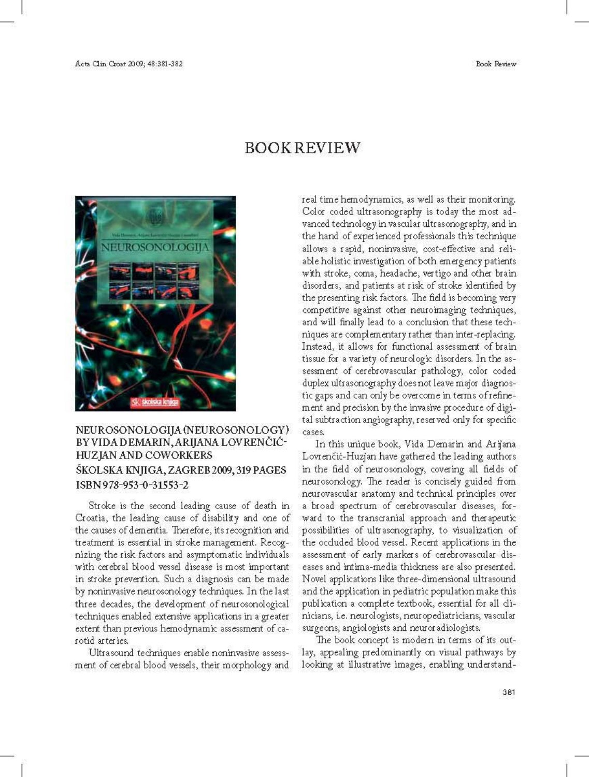Book Review



## **BOOK REVIEW**

real time hemodynamics, as well as their monitoring. Color coded ultrasonography is today the most advanced technology in vascular ultrasonography, and in the hand of experienced professionals this technique allows a rapid, noninvasive, cost-effective and reliable holistic investigation of both emergency patients with stroke, coma, headache, vertigo and other brain disorders, and patients at risk of stroke identified by the presenting risk factors. The field is becoming very competitive against other neuroimaging techniques, and will finally lead to a conclusion that these techniques are complementary rather than inter-replacing. Instead, it allows for functional assessment of brain tissue for a variety of neurologic disorders. In the assessment of cerebrovascular pathology, color coded duplex ultrasonography does not leave major diagnostic gaps and can only be overcome in terms of refinement and precision by the invasive procedure of digital subtraction angiography, reserved only for specific cases.

## NEUROSONOLOGIJA (NEUROSONOLOGY) BY VIDA DEMARIN, ARIJANA LOVRENČIĆ-HUZJAN AND COWORKERS ŠKOLSKA KNJIGA, ZAGREB 2009, 319 PAGES ISBN 978-953-0-31553-2

Stroke is the second leading cause of death in Croatia, the leading cause of disability and one of the causes of dementia. Therefore, its recognition and treatment is essential in stroke management. Recognizing the risk factors and asymptomatic individuals with cerebral blood vessel disease is most important in stroke prevention. Such a diagnosis can be made by noninvasive neurosonology techniques. In the last three decades, the development of neurosonological techniques enabled extensive applications in a greater extent than previous hemodynamic assessment of carotid arteries.

Ultrasound techniques enable noninvasive assessment of cerebral blood vessels, their morphology and

In this unique book, Vida Demarin and Arijana Lovrenčić-Huzjan have gathered the leading authors in the field of neurosonology, covering all fields of neurosonology. The reader is concisely guided from neurovascular anatomy and technical principles over a broad spectrum of cerebrovascular diseases, forward to the transcranial approach and therapeutic possibilities of ultrasonography, to visualization of the occluded blood vessel. Recent applications in the assessment of early markers of cerebrovascular diseases and intima-media thickness are also presented. Novel applications like three-dimensional ultrasound and the application in pediatric population make this publication a complete textbook, essential for all dinicians, i.e. neurologists, neuropediatricians, vascular surgeons, angiologists and neuror adiologists.

The book concept is modern in terms of its outlay, appealing predominantly on visual pathways by looking at illustrative images, enabling understand-